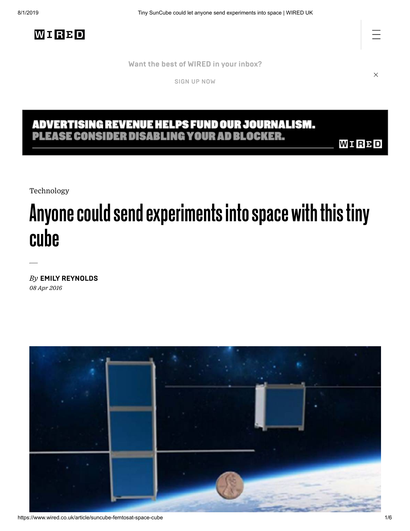**Want the best of WIRED [in your](https://www.wired.co.uk/newsletters) inbox?**

[SIGN](https://www.wired.co.uk/newsletters) UP NOW

# ADVERTISING REVENUE HELPS FUND OUR JOURNALISM.<br>PLEASE CONSIDER DISABLING YOUR AD BLOCKER.

**WIRPD** 

[Technology](https://www.wired.co.uk/topic/technology)

## Anyone could send experiments into space with this tiny cube

*By* **EMILY [REYNOLDS](https://www.wired.co.uk/profile/emily-reynolds)** *08 Apr 2016*



 $\times$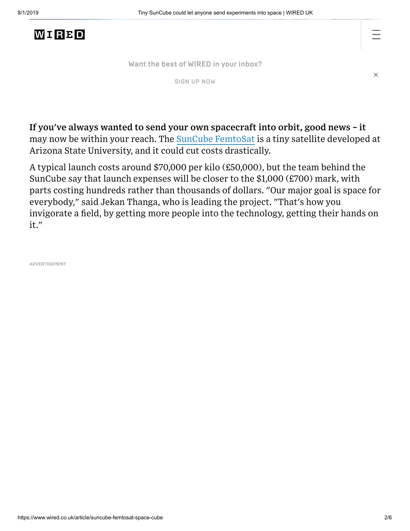#### WIRBD

**Want the best of WIRED [in your](https://www.wired.co.uk/newsletters) inbox?**

[SIGN](https://www.wired.co.uk/newsletters) UP NOW

 $\times$ 

**If you've always wanted to send your own spacecraft into orbit, good news – it** may now be within your reach. The SunCube [FemtoSat](http://femtosat.asu.edu/) is a tiny satellite developed at Arizona State University, and it could cut costs drastically.

A typical launch costs around \$70,000 per kilo (£50,000), but the team behind the SunCube say that launch expenses will be closer to the \$1,000 (£700) mark, with parts costing hundreds rather than thousands of dollars. "Our major goal is space for everybody," said Jekan Thanga, who is leading the project. "That's how you invigorate a field, by getting more people into the technology, getting their hands on it."

**ADVERTISEMENT**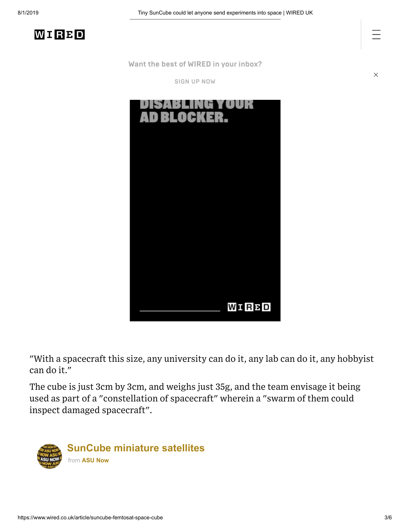$\times$ 

**Want the best of WIRED [in your](https://www.wired.co.uk/newsletters) inbox?**

[SIGN](https://www.wired.co.uk/newsletters) UP NOW



"With a spacecraft this size, any university can do it, any lab can do it, any hobbyist can do it."

The cube is just 3cm by 3cm, and weighs just 35g, and the team envisage it being used as part of a "constellation of spacecraft" wherein a "swarm of them could inspect damaged spacecraft".

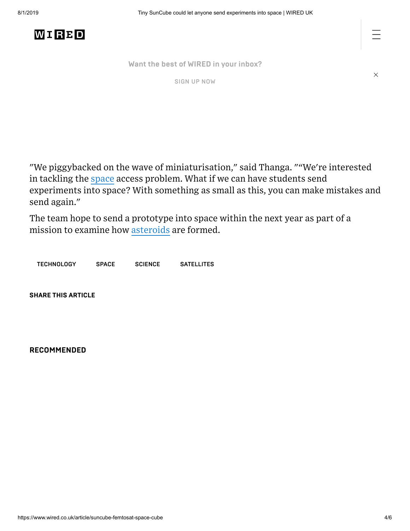

**Want the best of WIRED [in your](https://www.wired.co.uk/newsletters) inbox?**

[SIGN](https://www.wired.co.uk/newsletters) UP NOW

 $\times$ 

"We piggybacked on the wave of miniaturisation," said Thanga. ""We're interested in tackling the [space](https://www.wired.co.uk/topic/space) access problem. What if we can have students send experiments into space? With something as small as this, you can make mistakes and send again."

The team hope to send a prototype into space within the next year as part of a mission to examine how [asteroids](https://www.wired.co.uk/topic/asteroids) are formed.

[TECHNOLOGY](https://www.wired.co.uk/topic/technology) [SPACE](https://www.wired.co.uk/topic/space) [SCIENCE](https://www.wired.co.uk/topic/science) [SATELLITES](https://www.wired.co.uk/topic/satellites)

**SHARE THIS ARTICLE**

**RECOMMENDED**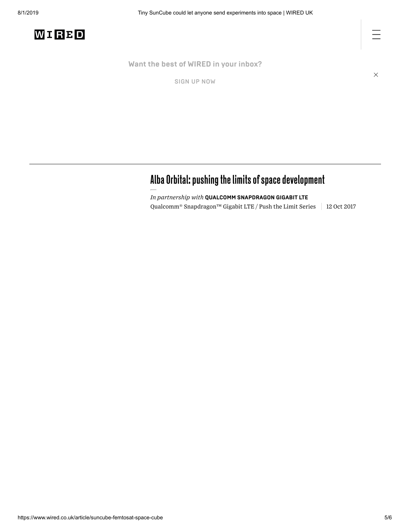

station **Want the best of WIRED [in your](https://www.wired.co.uk/newsletters) inbox?**

SIGN UP NOW

 $\times$ 

### Alba Orbital: pushing the limits of space development

*In partnership with* **QUALCOMM SNAPDRAGON GIGABIT LTE** Qualcomm® Snapdragon™ Gigabit LTE / Push the Limit Series  $\parallel$  12 Oct 2017

Thursdaybriefing:NasaandRoscosmos signdeal tobuildnew space